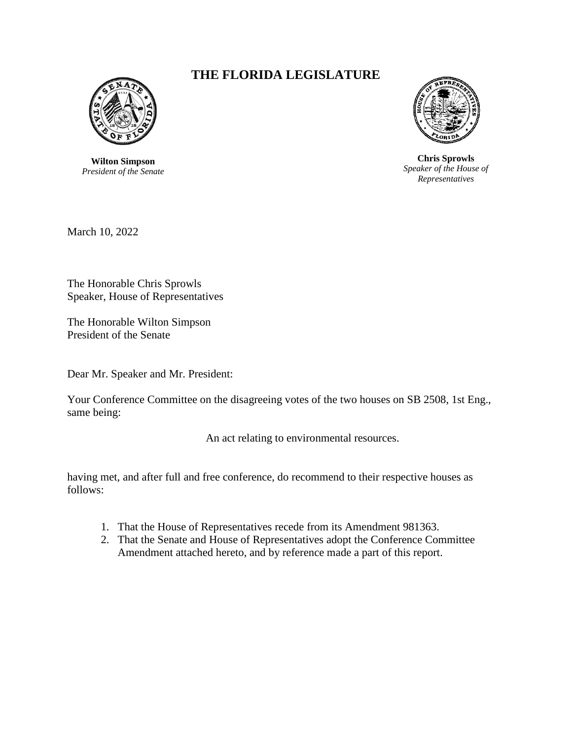

**Wilton Simpson** *President of the Senate*

## **THE FLORIDA LEGISLATURE**



**Chris Sprowls** *Speaker of the House of Representatives*

March 10, 2022

The Honorable Chris Sprowls Speaker, House of Representatives

The Honorable Wilton Simpson President of the Senate

Dear Mr. Speaker and Mr. President:

Your Conference Committee on the disagreeing votes of the two houses on SB 2508, 1st Eng., same being:

An act relating to environmental resources.

having met, and after full and free conference, do recommend to their respective houses as follows:

- 1. That the House of Representatives recede from its Amendment 981363.
- 2. That the Senate and House of Representatives adopt the Conference Committee Amendment attached hereto, and by reference made a part of this report.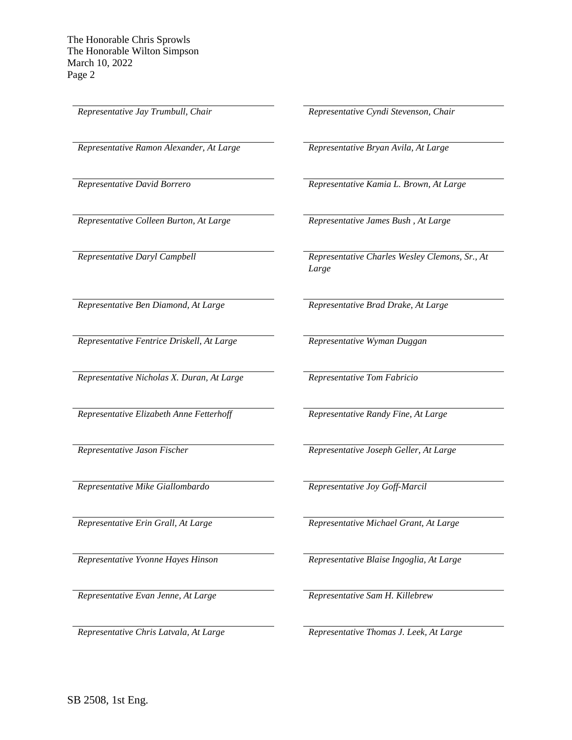*Representative Ramon Alexander, At Large Representative Bryan Avila, At Large*

*Representative Colleen Burton, At Large Representative James Bush , At Large*

*Representative Ben Diamond, At Large Representative Brad Drake, At Large* 

*Representative Fentrice Driskell, At Large Representative Wyman Duggan*

*Representative Nicholas X. Duran, At Large Representative Tom Fabricio*

*Representative Elizabeth Anne Fetterhoff Representative Randy Fine, At Large*

*Representative Mike Giallombardo Representative Joy Goff-Marcil*

*Representative Evan Jenne, At Large Representative Sam H. Killebrew*

*Representative Jay Trumbull, Chair Representative Cyndi Stevenson, Chair*

*Representative David Borrero Representative Kamia L. Brown, At Large*

*Representative Daryl Campbell Representative Charles Wesley Clemons, Sr., At Large*

*Representative Jason Fischer Representative Joseph Geller, At Large*

*Representative Erin Grall, At Large Representative Michael Grant, At Large*

*Representative Yvonne Hayes Hinson Representative Blaise Ingoglia, At Large*

*Representative Chris Latvala, At Large Representative Thomas J. Leek, At Large*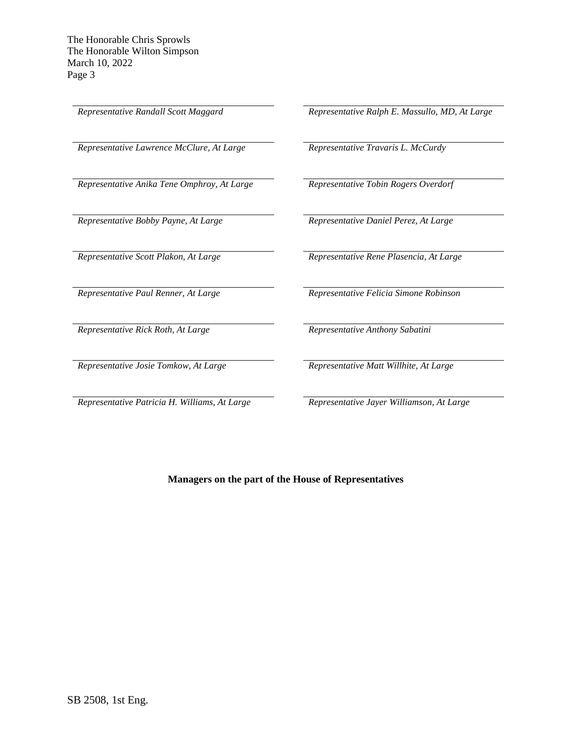*Representative Lawrence McClure, At Large Representative Travaris L. McCurdy*

*Representative Anika Tene Omphroy, At Large Representative Tobin Rogers Overdorf*

*Representative Rick Roth, At Large Representative Anthony Sabatini*

*Representative Josie Tomkow, At Large Representative Matt Willhite, At Large*

*Representative Patricia H. Williams, At Large Representative Jayer Williamson, At Large*

*Representative Randall Scott Maggard Representative Ralph E. Massullo, MD, At Large*

*Representative Bobby Payne, At Large Representative Daniel Perez, At Large*

*Representative Scott Plakon, At Large Representative Rene Plasencia, At Large*

*Representative Paul Renner, At Large Representative Felicia Simone Robinson*

**Managers on the part of the House of Representatives**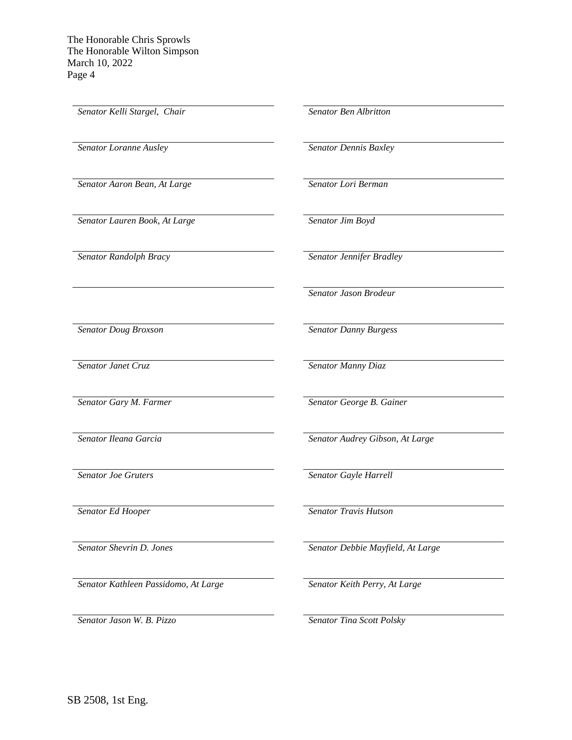*Senator Kelli Stargel, Chair Senator Ben Albritton Senator Loranne Ausley Senator Dennis Baxley Senator Aaron Bean, At Large Senator Lori Berman Senator Lauren Book, At Large Senator Jim Boyd Senator Randolph Bracy Senator Jennifer Bradley Senator Jason Brodeur Senator Doug Broxson Senator Danny Burgess Senator Janet Cruz Senator Manny Diaz Senator Gary M. Farmer Senator George B. Gainer Senator Ileana Garcia Senator Audrey Gibson, At Large Senator Joe Gruters Senator Gayle Harrell Senator Ed Hooper Senator Travis Hutson Senator Shevrin D. Jones Senator Debbie Mayfield, At Large Senator Kathleen Passidomo, At Large Senator Keith Perry, At Large*

*Senator Jason W. B. Pizzo Senator Tina Scott Polsky*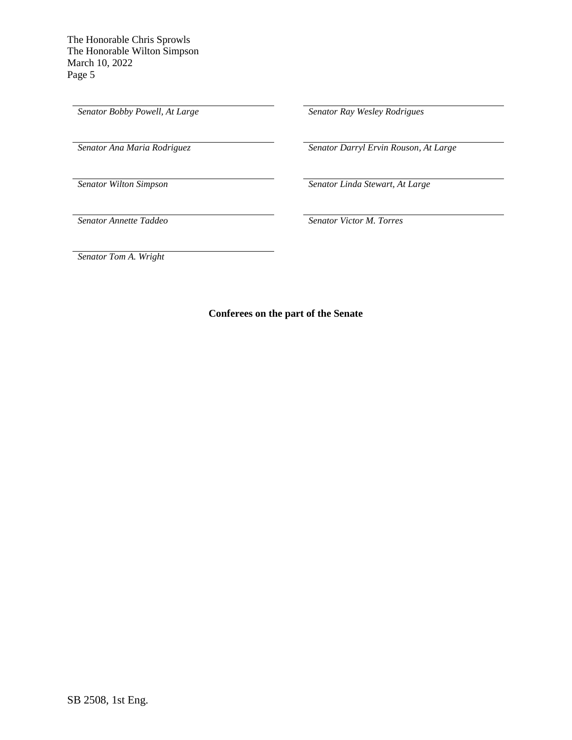*Senator Bobby Powell, At Large Senator Ray Wesley Rodrigues*

*Senator Ana Maria Rodriguez Senator Darryl Ervin Rouson, At Large*

*Senator Wilton Simpson Senator Linda Stewart, At Large*

*Senator Annette Taddeo Senator Victor M. Torres*

*Senator Tom A. Wright*

**Conferees on the part of the Senate**